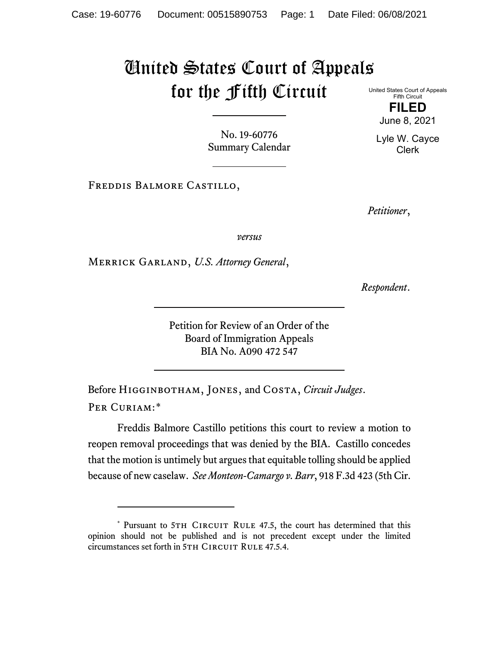## United States Court of Appeals for the Fifth Circuit

United States Court of Appeals Fifth Circuit

> **FILED** June 8, 2021

Lyle W. Cayce Clerk

No. 19-60776 Summary Calendar

Freddis Balmore Castillo,

*Petitioner*,

*versus*

Merrick Garland, *U.S. Attorney General*,

*Respondent*.

Petition for Review of an Order of the Board of Immigration Appeals BIA No. A090 472 547

Before Higginbotham, Jones, and Costa, *Circuit Judges*. PER CURIAM:[\\*](#page-0-0)

Freddis Balmore Castillo petitions this court to review a motion to reopen removal proceedings that was denied by the BIA. Castillo concedes that the motion is untimely but argues that equitable tolling should be applied because of new caselaw. *See Monteon-Camargo v. Barr*, 918 F.3d 423 (5th Cir.

<span id="page-0-0"></span><sup>\*</sup> Pursuant to 5TH CIRCUIT RULE 47.5, the court has determined that this opinion should not be published and is not precedent except under the limited circumstances set forth in 5TH CIRCUIT RULE 47.5.4.